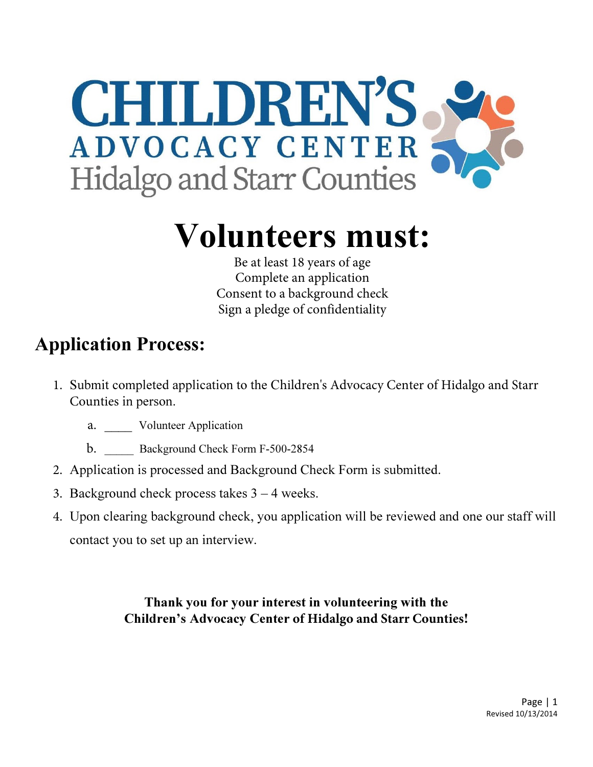

# Volunteers must:

Be at least 18 years of age Complete an application Consent to a background check Sign a pledge of confidentiality

## Application Process:

- 1. Submit completed application to the Children's Advocacy Center of Hidalgo and Starr Counties in person.
	- a. Volunteer Application
	- b. Background Check Form F-500-2854
- 2. Application is processed and Background Check Form is submitted.
- 3. Background check process takes 3 4 weeks.
- 4. Upon clearing background check, you application will be reviewed and one our staff will contact you to set up an interview.

Thank you for your interest in volunteering with the Children's Advocacy Center **of Hidalgo and Starr Counties**!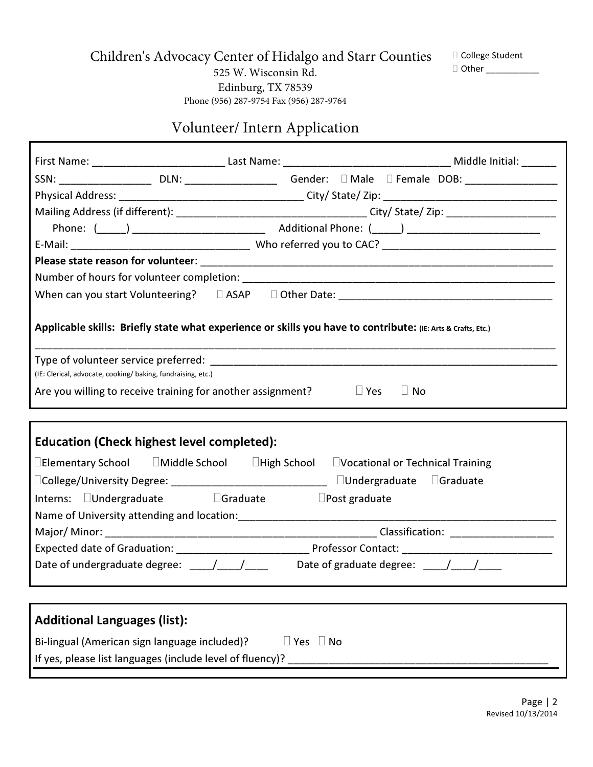Children's Advocacy Center of Hidalgo and Starr Counties

 College Student Other \_\_\_\_\_\_\_\_\_\_\_

525 W. Wisconsin Rd. Edinburg, TX 78539 Phone (956) 287-9754 Fax (956) 287-9764

### Volunteer/ Intern Application

Л

| SSN: _______________________ DLN: _________________________ Gender: □ Male □ Female DOB: _____________________ |                      |
|----------------------------------------------------------------------------------------------------------------|----------------------|
|                                                                                                                |                      |
|                                                                                                                |                      |
|                                                                                                                |                      |
|                                                                                                                |                      |
|                                                                                                                |                      |
|                                                                                                                |                      |
|                                                                                                                |                      |
| Applicable skills: Briefly state what experience or skills you have to contribute: (IE: Arts & Crafts, Etc.)   |                      |
|                                                                                                                |                      |
| (IE: Clerical, advocate, cooking/baking, fundraising, etc.)                                                    |                      |
| Are you willing to receive training for another assignment?                                                    | Yes<br>No.           |
|                                                                                                                |                      |
| <b>Education (Check highest level completed):</b>                                                              |                      |
| Elementary School Middle School High School Vocational or Technical Training                                   |                      |
| College/University Degree: _________________________________ Undergraduate Graduate                            |                      |
| Interns: Undergraduate Graduate                                                                                | <b>Post graduate</b> |
|                                                                                                                |                      |
|                                                                                                                |                      |
|                                                                                                                |                      |
| Date of undergraduate degree: ___/___/____ Date of graduate degree: ___/___/___                                |                      |
|                                                                                                                |                      |
|                                                                                                                |                      |
| <b>Additional Languages (list):</b>                                                                            |                      |
| Bi-lingual (American sign language included)?<br>Yes                                                           | No                   |
| If yes, please list languages (include level of fluency)?                                                      |                      |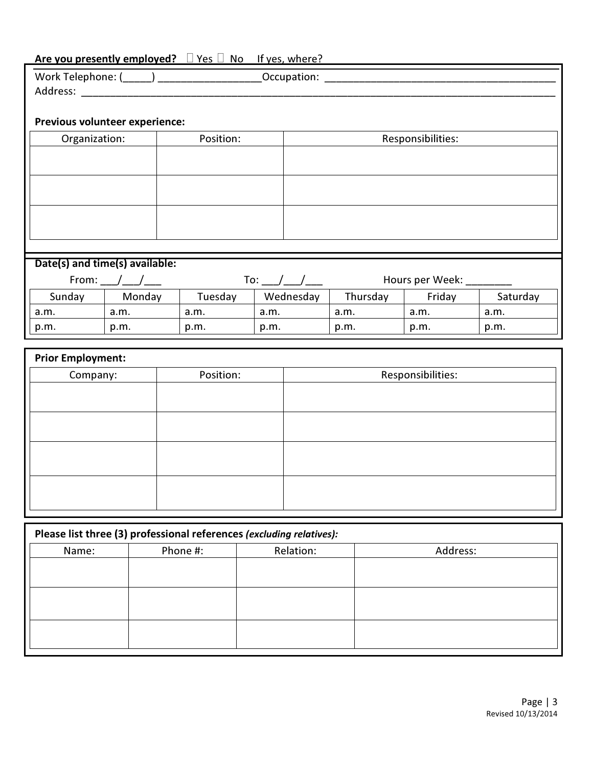| Are you presently employed? Yes No<br>If yes, where? |                                |           |           |          |                   |          |
|------------------------------------------------------|--------------------------------|-----------|-----------|----------|-------------------|----------|
|                                                      |                                |           |           |          |                   |          |
|                                                      |                                |           |           |          |                   |          |
|                                                      |                                |           |           |          |                   |          |
|                                                      | Previous volunteer experience: |           |           |          |                   |          |
| Organization:                                        |                                | Position: |           |          | Responsibilities: |          |
|                                                      |                                |           |           |          |                   |          |
|                                                      |                                |           |           |          |                   |          |
|                                                      |                                |           |           |          |                   |          |
|                                                      |                                |           |           |          |                   |          |
|                                                      |                                |           |           |          |                   |          |
|                                                      |                                |           |           |          |                   |          |
|                                                      |                                |           |           |          |                   |          |
| Date(s) and time(s) available:                       |                                |           |           |          |                   |          |
| Hours per Week:<br>From: $/$ /<br>To: $/$ $/$        |                                |           |           |          |                   |          |
| Sunday                                               | Monday                         | Tuesday   | Wednesday | Thursday | Friday            | Saturday |
| a.m.                                                 | a.m.                           | a.m.      | a.m.      | a.m.     | a.m.              | a.m.     |
| p.m.                                                 | p.m.                           | p.m.      | p.m.      | p.m.     | p.m.              | p.m.     |

| <b>Prior Employment:</b> |           |                   |  |
|--------------------------|-----------|-------------------|--|
| Company:                 | Position: | Responsibilities: |  |
|                          |           |                   |  |
|                          |           |                   |  |
|                          |           |                   |  |
|                          |           |                   |  |
|                          |           |                   |  |
|                          |           |                   |  |
|                          |           |                   |  |
|                          |           |                   |  |

| Please list three (3) professional references (excluding relatives): |  |  |  |  |  |
|----------------------------------------------------------------------|--|--|--|--|--|
| Relation:<br>Address:<br>Phone #:<br>Name:                           |  |  |  |  |  |
|                                                                      |  |  |  |  |  |
|                                                                      |  |  |  |  |  |
|                                                                      |  |  |  |  |  |
|                                                                      |  |  |  |  |  |
|                                                                      |  |  |  |  |  |
|                                                                      |  |  |  |  |  |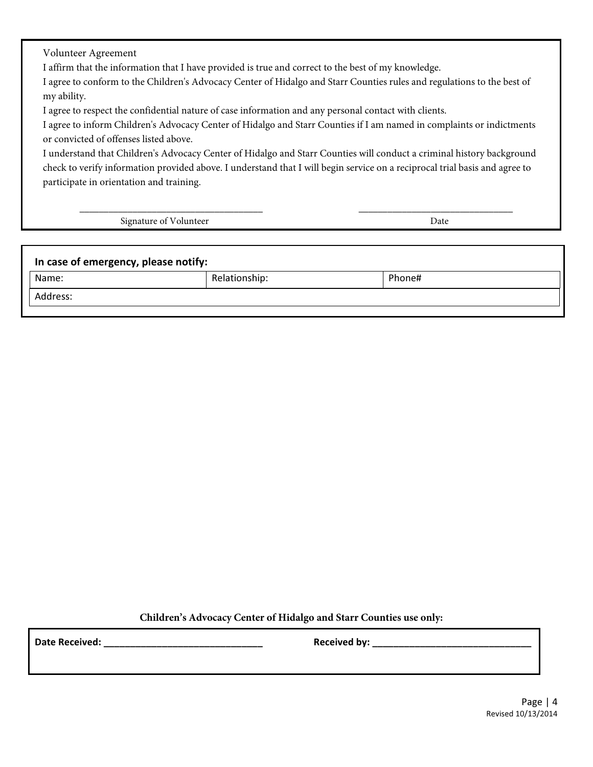Volunteer Agreement

I affirm that the information that I have provided is true and correct to the best of my knowledge.

I agree to conform to the Children's Advocacy Center of Hidalgo and Starr Counties rules and regulations to the best of my ability.

I agree to respect the confidential nature of case information and any personal contact with clients.

I agree to inform Children's Advocacy Center of Hidalgo and Starr Counties if I am named in complaints or indictments or convicted of offenses listed above.

I understand that Children's Advocacy Center of Hidalgo and Starr Counties will conduct a criminal history background check to verify information provided above. I understand that I will begin service on a reciprocal trial basis and agree to participate in orientation and training.

\_\_\_\_\_\_\_\_\_\_\_\_\_\_\_\_\_\_\_\_\_\_\_\_\_\_\_\_\_\_\_\_\_\_\_\_\_\_ \_\_\_\_\_\_\_\_\_\_\_\_\_\_\_\_\_\_\_\_\_\_\_\_\_\_\_\_\_\_\_\_

Signature of Volunteer Date

| In case of emergency, please notify: |               |        |  |
|--------------------------------------|---------------|--------|--|
| Name:                                | Relationship: | Phone# |  |
| Address:                             |               |        |  |

**Children's Advocacy Center of Hidalgo and Starr Counties use only:**

Date Received: \_\_\_\_\_\_\_\_\_\_\_\_\_\_\_\_\_\_\_\_\_\_\_\_\_\_\_\_\_\_ Received by: \_\_\_\_\_\_\_\_\_\_\_\_\_\_\_\_\_\_\_\_\_\_\_\_\_\_\_\_\_\_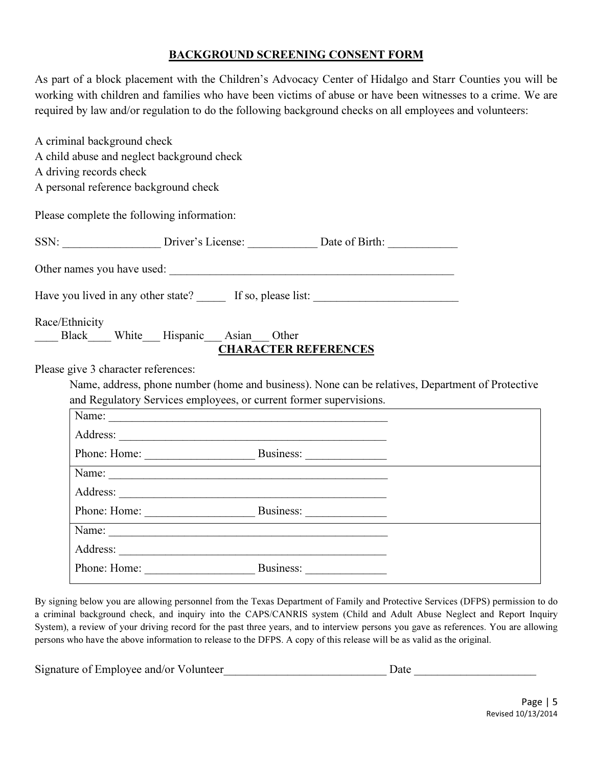#### BACKGROUND SCREENING CONSENT FORM

As part of a block placement with the Children's Advocacy Center of Hidalgo and Starr Counties you will be working with children and families who have been victims of abuse or have been witnesses to a crime. We are required by law and/or regulation to do the following background checks on all employees and volunteers:

| A criminal background check                |                                                                    |                             |                                                                                                  |
|--------------------------------------------|--------------------------------------------------------------------|-----------------------------|--------------------------------------------------------------------------------------------------|
| A child abuse and neglect background check |                                                                    |                             |                                                                                                  |
| A driving records check                    |                                                                    |                             |                                                                                                  |
| A personal reference background check      |                                                                    |                             |                                                                                                  |
| Please complete the following information: |                                                                    |                             |                                                                                                  |
|                                            |                                                                    |                             |                                                                                                  |
|                                            | Other names you have used:                                         |                             |                                                                                                  |
|                                            |                                                                    |                             |                                                                                                  |
| Race/Ethnicity                             | Black White Hispanic Asian Other                                   | <b>CHARACTER REFERENCES</b> |                                                                                                  |
| Please give 3 character references:        |                                                                    |                             |                                                                                                  |
|                                            |                                                                    |                             | Name, address, phone number (home and business). None can be relatives, Department of Protective |
|                                            | and Regulatory Services employees, or current former supervisions. |                             |                                                                                                  |
|                                            | Name:                                                              |                             |                                                                                                  |
|                                            |                                                                    |                             |                                                                                                  |
|                                            |                                                                    |                             |                                                                                                  |
|                                            |                                                                    |                             |                                                                                                  |
|                                            |                                                                    |                             |                                                                                                  |
|                                            |                                                                    |                             |                                                                                                  |
|                                            |                                                                    |                             |                                                                                                  |
|                                            |                                                                    |                             |                                                                                                  |
|                                            | Phone: Home: Business:                                             |                             |                                                                                                  |

By signing below you are allowing personnel from the Texas Department of Family and Protective Services (DFPS) permission to do a criminal background check, and inquiry into the CAPS/CANRIS system (Child and Adult Abuse Neglect and Report Inquiry System), a review of your driving record for the past three years, and to interview persons you gave as references. You are allowing persons who have the above information to release to the DFPS. A copy of this release will be as valid as the original.

| Signature of Employee and/or Volunteer<br>Date |  |
|------------------------------------------------|--|
|------------------------------------------------|--|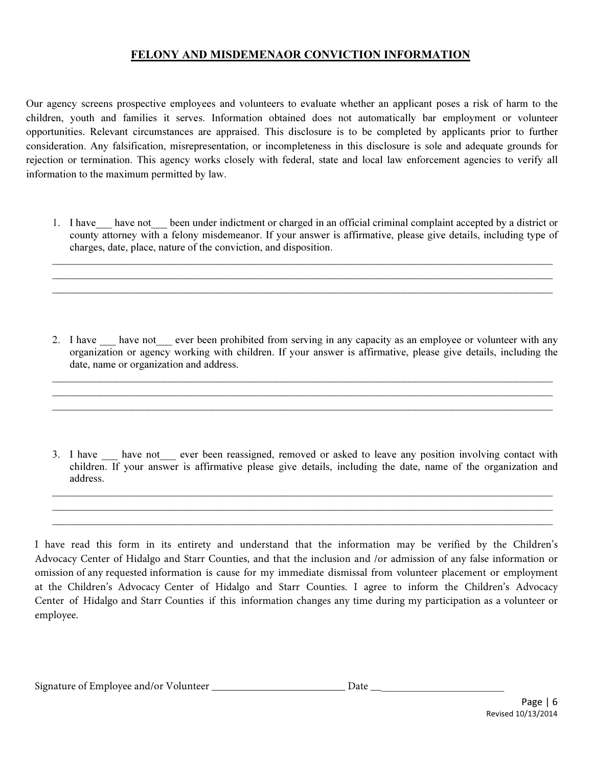#### FELONY AND MISDEMENAOR CONVICTION INFORMATION

Our agency screens prospective employees and volunteers to evaluate whether an applicant poses a risk of harm to the children, youth and families it serves. Information obtained does not automatically bar employment or volunteer opportunities. Relevant circumstances are appraised. This disclosure is to be completed by applicants prior to further consideration. Any falsification, misrepresentation, or incompleteness in this disclosure is sole and adequate grounds for rejection or termination. This agency works closely with federal, state and local law enforcement agencies to verify all information to the maximum permitted by law.

1. I have have not been under indictment or charged in an official criminal complaint accepted by a district or county attorney with a felony misdemeanor. If your answer is affirmative, please give details, including type of charges, date, place, nature of the conviction, and disposition.

 $\mathcal{L}_\mathcal{L} = \mathcal{L}_\mathcal{L} = \mathcal{L}_\mathcal{L} = \mathcal{L}_\mathcal{L} = \mathcal{L}_\mathcal{L} = \mathcal{L}_\mathcal{L} = \mathcal{L}_\mathcal{L} = \mathcal{L}_\mathcal{L} = \mathcal{L}_\mathcal{L} = \mathcal{L}_\mathcal{L} = \mathcal{L}_\mathcal{L} = \mathcal{L}_\mathcal{L} = \mathcal{L}_\mathcal{L} = \mathcal{L}_\mathcal{L} = \mathcal{L}_\mathcal{L} = \mathcal{L}_\mathcal{L} = \mathcal{L}_\mathcal{L}$  $\mathcal{L}_\mathcal{L} = \mathcal{L}_\mathcal{L} = \mathcal{L}_\mathcal{L} = \mathcal{L}_\mathcal{L} = \mathcal{L}_\mathcal{L} = \mathcal{L}_\mathcal{L} = \mathcal{L}_\mathcal{L} = \mathcal{L}_\mathcal{L} = \mathcal{L}_\mathcal{L} = \mathcal{L}_\mathcal{L} = \mathcal{L}_\mathcal{L} = \mathcal{L}_\mathcal{L} = \mathcal{L}_\mathcal{L} = \mathcal{L}_\mathcal{L} = \mathcal{L}_\mathcal{L} = \mathcal{L}_\mathcal{L} = \mathcal{L}_\mathcal{L}$ \_\_\_\_\_\_\_\_\_\_\_\_\_\_\_\_\_\_\_\_\_\_\_\_\_\_\_\_\_\_\_\_\_\_\_\_\_\_\_\_\_\_\_\_\_\_\_\_\_\_\_\_\_\_\_\_\_\_\_\_\_\_\_\_\_\_\_\_\_\_\_\_\_\_\_\_\_\_\_\_\_\_\_\_\_\_\_\_\_\_\_\_\_\_

2. I have have not ever been prohibited from serving in any capacity as an employee or volunteer with any organization or agency working with children. If your answer is affirmative, please give details, including the date, name or organization and address.

\_\_\_\_\_\_\_\_\_\_\_\_\_\_\_\_\_\_\_\_\_\_\_\_\_\_\_\_\_\_\_\_\_\_\_\_\_\_\_\_\_\_\_\_\_\_\_\_\_\_\_\_\_\_\_\_\_\_\_\_\_\_\_\_\_\_\_\_\_\_\_\_\_\_\_\_\_\_\_\_\_\_\_\_\_\_\_\_\_\_\_\_\_\_ \_\_\_\_\_\_\_\_\_\_\_\_\_\_\_\_\_\_\_\_\_\_\_\_\_\_\_\_\_\_\_\_\_\_\_\_\_\_\_\_\_\_\_\_\_\_\_\_\_\_\_\_\_\_\_\_\_\_\_\_\_\_\_\_\_\_\_\_\_\_\_\_\_\_\_\_\_\_\_\_\_\_\_\_\_\_\_\_\_\_\_\_\_\_  $\mathcal{L}_\mathcal{L} = \mathcal{L}_\mathcal{L} = \mathcal{L}_\mathcal{L} = \mathcal{L}_\mathcal{L} = \mathcal{L}_\mathcal{L} = \mathcal{L}_\mathcal{L} = \mathcal{L}_\mathcal{L} = \mathcal{L}_\mathcal{L} = \mathcal{L}_\mathcal{L} = \mathcal{L}_\mathcal{L} = \mathcal{L}_\mathcal{L} = \mathcal{L}_\mathcal{L} = \mathcal{L}_\mathcal{L} = \mathcal{L}_\mathcal{L} = \mathcal{L}_\mathcal{L} = \mathcal{L}_\mathcal{L} = \mathcal{L}_\mathcal{L}$ 

3. I have have not ever been reassigned, removed or asked to leave any position involving contact with children. If your answer is affirmative please give details, including the date, name of the organization and address.

\_\_\_\_\_\_\_\_\_\_\_\_\_\_\_\_\_\_\_\_\_\_\_\_\_\_\_\_\_\_\_\_\_\_\_\_\_\_\_\_\_\_\_\_\_\_\_\_\_\_\_\_\_\_\_\_\_\_\_\_\_\_\_\_\_\_\_\_\_\_\_\_\_\_\_\_\_\_\_\_\_\_\_\_\_\_\_\_\_\_\_\_\_\_ \_\_\_\_\_\_\_\_\_\_\_\_\_\_\_\_\_\_\_\_\_\_\_\_\_\_\_\_\_\_\_\_\_\_\_\_\_\_\_\_\_\_\_\_\_\_\_\_\_\_\_\_\_\_\_\_\_\_\_\_\_\_\_\_\_\_\_\_\_\_\_\_\_\_\_\_\_\_\_\_\_\_\_\_\_\_\_\_\_\_\_\_\_\_ \_\_\_\_\_\_\_\_\_\_\_\_\_\_\_\_\_\_\_\_\_\_\_\_\_\_\_\_\_\_\_\_\_\_\_\_\_\_\_\_\_\_\_\_\_\_\_\_\_\_\_\_\_\_\_\_\_\_\_\_\_\_\_\_\_\_\_\_\_\_\_\_\_\_\_\_\_\_\_\_\_\_\_\_\_\_\_\_\_\_\_\_\_\_

I have read this form in its entirety and understand that the information may be verified by the Children's Advocacy Center of Hidalgo and Starr Counties, and that the inclusion and /or admission of any false information or omission of any requested information is cause for my immediate dismissal from volunteer placement or employment at the Children's Advocacy Center of Hidalgo and Starr Counties. I agree to inform the Children's Advocacy Center of Hidalgo and Starr Counties if this information changes any time during my participation as a volunteer or employee.

| $\sim$<br>Signature of Employee and/or Volunteer | Date |
|--------------------------------------------------|------|
|--------------------------------------------------|------|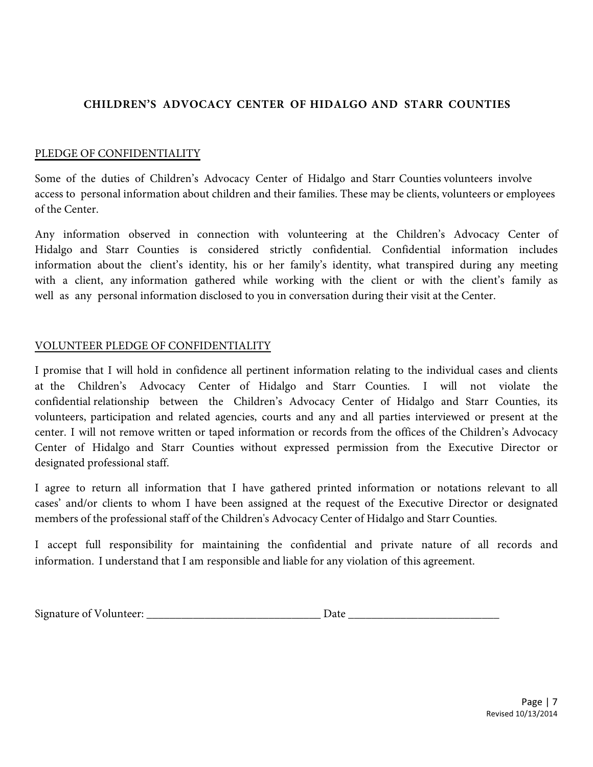#### **CHILDREN'S ADVOCACY CENTER OF HIDALGO AND STARR COUNTIES**

#### PLEDGE OF CONFIDENTIALITY

Some of the duties of Children's Advocacy Center of Hidalgo and Starr Counties volunteers involve access to personal information about children and their families. These may be clients, volunteers or employees of the Center.

Any information observed in connection with volunteering at the Children's Advocacy Center of Hidalgo and Starr Counties is considered strictly confidential. Confidential information includes information about the client's identity, his or her family's identity, what transpired during any meeting with a client, any information gathered while working with the client or with the client's family as well as any personal information disclosed to you in conversation during their visit at the Center.

#### VOLUNTEER PLEDGE OF CONFIDENTIALITY

I promise that I will hold in confidence all pertinent information relating to the individual cases and clients at the Children's Advocacy Center of Hidalgo and Starr Counties. I will not violate the confidential relationship between the Children's Advocacy Center of Hidalgo and Starr Counties, its volunteers, participation and related agencies, courts and any and all parties interviewed or present at the center. I will not remove written or taped information or records from the offices of the Children's Advocacy Center of Hidalgo and Starr Counties without expressed permission from the Executive Director or designated professional staff.

I agree to return all information that I have gathered printed information or notations relevant to all cases' and/or clients to whom I have been assigned at the request of the Executive Director or designated members of the professional staff of the Children's Advocacy Center of Hidalgo and Starr Counties.

I accept full responsibility for maintaining the confidential and private nature of all records and information. I understand that I am responsible and liable for any violation of this agreement.

| $\sim$<br>Signature of<br>∠olunteer∙<br>.<br>$\sim$<br>$\sim$ $\sim$ | $\cdots$<br>72 L A |  |
|----------------------------------------------------------------------|--------------------|--|
|                                                                      |                    |  |